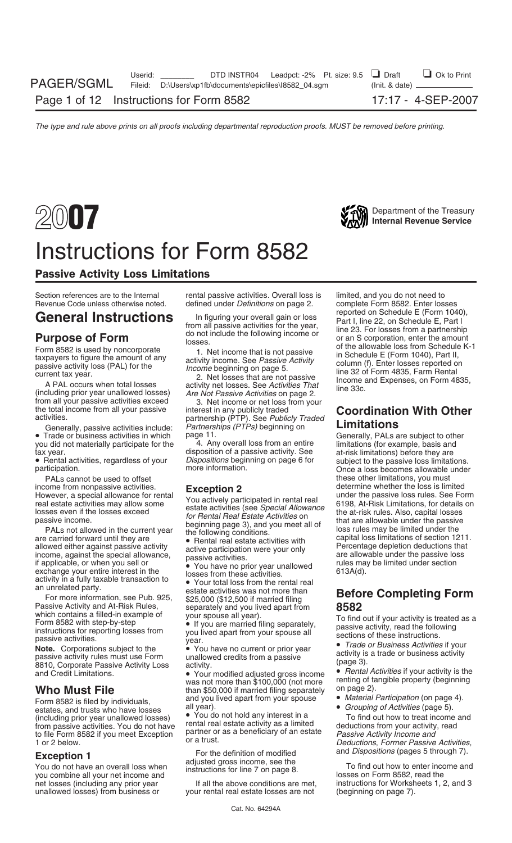

# Instructions for Form 8582

### Passive Activity Loss Limitations

PALs cannot be used to offset the these other limitations, you must help these other limitations, you must

Passive Activity and At-Risk Rules,<br>
which contains a filled-in example of<br>
Form 8582 with step-by-step<br>
instructions for reporting losses from<br>
passive activity is treated as a<br>
instructions for reporting losses from<br>
pa

Form 8582 is filed by individuals, and you lived apart from your spouse • *Material Participation* (on page 4).<br>
estates, and trusts who have losses all year).<br>
(including prior year unallowed losses) • You do not hold any (including prior year unallowed losses) • You do not hold any interest in a<br>Trom passive activities. You do not have rental real estate activity as a limited from passive activities. You do not have rental real estate activity as a limited deductions from your activity, read<br>to file Form 8582 if you meet Exception partner or as a beneficiary of an estate *Passive Activity Incom* to file Form 8582 if you meet Exception partner or as a beneficiary of an estate *Passive Activity Income and* or a trust. 1 or 2 below. *Deductions*, *Former Passive Activities*,

Section references are to the Internal rental passive activities. Overall loss is limited, and you do not need to<br>Revenue Code unless otherwise noted. defined under *Definitions* on page 2. complete Form 8582. Enter losses

The total income from all your passive active interest in any publicly traded<br>
activities include: *Partnerships (PTPs)* beginning on **Limitations**<br>
• Trade or business activities in which page 11. Generally, PALs are subj

you did not materially participate for the 4. Any overall loss from an entire tax year.

an unrelated party.<br>For more information, see Pub. 925, \$25,000 (\$12,500 if married filing<br>Passive Activity and At-Risk Rules, separately and you lived apart from

was not more than \$100,000 (not more renting of tangible property (beginning the result) was not to property (b<br>than \$50,000 if married filing senarately conpage 2). **Who Must File** than \$50,000 if married filing separately<br>Form 8582 is filed by individuals and you lived apart from your spouse

**Exception 1** For the definition of modified and *Dispositions* (pages 5 through 7).<br>You do not have an overall loss when adjusted gross income, see the To find out how to enter income and<br>you combine all your net income a

your rental real estate losses are not

defined under *Definitions* on page 2. complete Form 8582. Enter losses<br>Le finitions on page 2. complete Form 8582. Enter losses **General Instructions** In figuring your overall gain or loss reported on Schedule E (Form 1040),<br> **Purpose of Form**<br> **Purpose of Form**<br> **Purpose of Form**<br> **Purpose of Form**<br> **Purpose of Form**<br> **Purpose of Form**<br> **Expansion** 

tax year. The control of a passive activity. See the at-risk limitations) before they are<br>● Rental activities, regardless of your *Dispositions* beginning on page 6 for subject to the passive loss limitations.<br>participati income from nonpassive activities.<br>
However, a special allowance for rental <br>  $\frac{1}{2}$ <br>  $\frac{1}{2}$ <br>  $\frac{1}{2}$ <br>  $\frac{1}{2}$ <br>  $\frac{1}{2}$ <br>  $\frac{1}{2}$ <br>  $\frac{1}{2}$ <br>  $\frac{1}{2}$ <br>  $\frac{1}{2}$ <br>  $\frac{1}{2}$ <br>  $\frac{1}{2}$ <br>  $\frac{1}{2}$ <br>  $\frac{1}{2}$ <br> However, a special allowance for rental<br>
least activities (see *Special Allowance*<br>
losses even if the losses exceed<br>
losses exceed<br>
losses exceed<br>
losses exceed<br>
losses are the distributions, for details on<br>
lead Estate A

# **Before Completing Form**

and Credit Limitations.<br>and Credit Limitations. • • *Your modified adjusted gross income* • *Rental Activities* if your activity is the<br>was not more than \$100,000 (not more renting of tangible property (beginning

- 
- 

net losses (including any prior year If all the above conditions are met, instructions for Worksheets 1, 2, and 3<br>unallowed losses) from business or your rental real estate losses are not (beginning on page 7).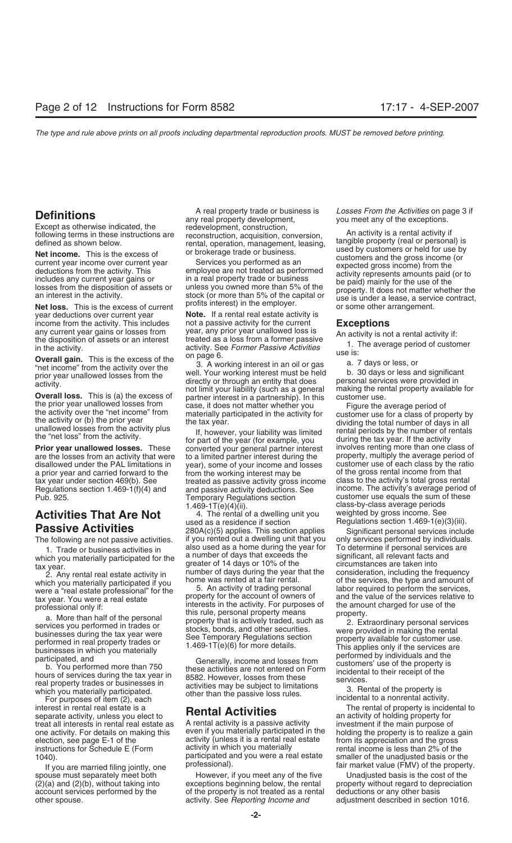year deductions over current year **Note.** If a rental real estate activity is income from the activity. This includes not a passive activity for the current

a prior year and carried forward to the other of the working interest may be tax year under section 469(b). See

### **Activities That Are Not** 4. The rental of a dwelling **Activities That Are Not** used as a residence if section

which you materially participated if you home was rented at a fair rental. of the services, the type and amount of were a "real estate professional" for the 5. An activity of trading personal labor required to perform the

For purposes of item (2), each<br>interest in rental real estate is a<br>separate activity, unless you elect to<br>treat all interests in rental real estate as<br>A rental activity is a passive activity<br>investment if the main purpose treat all interests in rental real estate as A rental activity is a passive activity investment if the main purpose of one activity. For details on making this even if you materially participated in the holding the propert one activity. For details on making this even if you materially participated in the election, see page E-1 of the activity (unless it is a rental real estate instructions for Schedule E (Form activity in which you materially rental income is less than 2% of the<br>participated and you were a real estate smaller of the unadjusted basis or the

income from the activity. This includes<br>
any current year gains or losses from year, any prior year unallowed loss is<br>
the disposition of assets or an interest<br>
in the activity. See *Former Passive Activities*<br> **Overall ga** 

Frior year unallowed losses. These converted your general partner interest involves renting more than one class of<br>are the losses from an activity that were to a limited partner interest during the property, multiply the a are the losses from an activity that were to a limited partner interest during the property, multiply the average period of disallowed under the PAL limitations in year), some of your income and losses customer use of each year), some of your income and losses customer use of each class by the ratio<br>from the working interest may be so file gross rental income from that tax year under section 469(b). See treated as passive activity gross income class to the activity's total gross rental treated as passive activity gross income. The activity's average period expanding Regulations section 1 Regulations section 1.469-1(f)(4) and and passive activity deductions. See income. The activity's average period of  $\frac{1.469 \cdot 1}{1.600 \cdot 1}$  Temporary Requlations section customer use equals the sum of these Temporary Regulations section customer use equals the sum of these  $1.469-1T(e)(4)(ii)$ .

**Passive Activities** 280A(c)(5) applies. This section applies Significant personal services include The following are not passive activities. if you rented out a dwelling unit that you only services performed by individuals.<br>1. Trade or business activities in also used as a home during the year for To determine if person 1. Trade or business activities in also used as a home during the year for To determine if personal services are<br>ich vou materially participated for the a number of days that exceeds the significant, all relevant facts and which you materially participated for the a number of days that exceeds the significant, all relevant facts and<br>greater of 14 days or 10% of the circumstances are taken into greater or 14 days or 10% of the circumstances are taken into<br>2. Any rental real estate activity in number of days during the year that the consideration, including the frequency<br>2. Any rental real estate activity in home

activity (unless it is a rental real estate from its appreciation and the gross<br>activity in which you materially entity rental income is less than 2% of the

spouse must separately meet both However, if you meet any of the five Unadjusted basis is the cost of the (2)(a) and (2)(b), without taking into exceptions beginning below, the rental property without regard to depreciatio exceptions beginning below, the rental property without regard to depreciation account services performed by the of the property is not treated as a rental deductions or any other basis other spouse. activity. See *Reporting Income and* adjustment described in section 1016.

**Definitions**<br>
Except as otherwise indicated, the<br>
Except as otherwise indicated, the<br>
redevelopment, construction,<br>
following terms in these instructions are<br>
redevelopment, construction,<br>
following terms in these instruc

the prior year unallowed losses from the activity over the "net income" from the activity over the "net income" from the tax year the activity or (b) the prior year the tax year.<br>
unallowed losses from the activity plus in .69-1T(e)(4)(ii).<br>4. The rental of a dwelling unit you weighted by gross income. See Regulations section  $1.469-1(e)(3)(iii)$ .

were a "real estate professional" for the 5. An activity of trading personal labor required to perform the services,<br>tax year. You were a real estate service to property for the account of owners of and the value of the se

From education and the value of the services relative to the services and the value of the services relative to<br>professional only if:<br>a. More than half of the personal<br>services over the activity. For purposes of the annul

10, participated and you are married filing jointly, one professional). The uncertainty of the unanglusted basis of the property.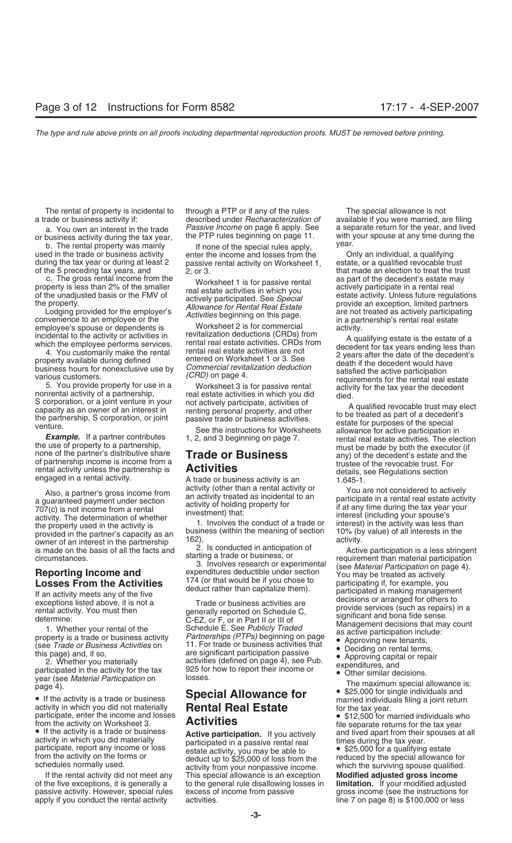during the tax year or during at least 2 passive rental activity on Worksheet 1, of the 5 preceding tax years, and  $\begin{array}{c} 2.0r3. \end{array}$ 

c. The gross rental income from the vorksheet 1 is for passive rental as part of the decedent's estate may<br>property is less than 2% of the smaller real estate activities in which you actively participate in a rental real

example of the convenience to an employee or the convenience to an employee or the convenience of the conventions of the commercial incidental to the activity or activities in revitalization deductions (CRDs) from A qualif

rental activity unless the partnership is **Activities** details, see Regulations section engaged in a rental activity.<br>A trade or business activity is an 1.645-1.

year (see Material Participation on losses.<br>
page 4).<br> **Special Allowance for**  $\bullet$  \$25,000 for single individuals and

From the activity on Worksheet 3.<br>
• If the activity is a trade or business<br>
active participation. If you actively<br>
active participation. If you actively<br>
active participation. If you actively<br>
and lived apart from their s

of the five exceptions, it is generally a to the general rule disallowing losses in **limitation.** If your modified adjusted passive activity. However, special rules excess of income from passive apply if you conduct the rental activity activities. Let us and the 7 on page 8) is \$100,000 or less

The rental of property is incidental to through a PTP or if any of the rules The special allowance is not a. You own an interest in the trade *Passive Income* on page 6 apply. See or business activity during the tax year, the PTP rules beginning on page 11.

b. The rental property was mainly and the special rules apply, wear.<br>If none of the special rules apply, the special rules apply, the restate or a qualifying during the tax year or during at least 2 bassive rental activity

# Page +/.<br>
• If the activity is a trade or business<br>
activity in which you did not materially<br>
participate, enter the income and losses<br> **Activition**<br> **Activition**<br> **Activition**<br> **Activition**<br> **Activition**<br> **Activition**<br> **A**

If the rental activity did not meet any This special allowance is an exception **Modified adjusted gross income**

a trade or business activity if: described under *Recharacterization of* available if you were married, are filing with your spouse at any time during the<br>vear,

that made an election to treat the trust property is less than 2% of the smaller<br>
of the unadjusted basis or the FMV of<br>
the property.<br>
Lodging provided for the employer's<br>
Lodging provided for the employer's<br>
allowance for Rental Real Estate<br>
Allowance for Renta

incidental to the activity or activities in<br>
which the employee performs services. Then the rental real estate activities CRDs) from<br>
which the employee performs services. Then the rental real estate activities creator dec

**Example.** It a partner contributes 1, 2, and 3 beginning on page 7. The election the use of property to a partnership,<br>
the use of property to a partnership,<br>
the executor (if mone of the partner's distributive share<br>
of

Also, a partner's gross income from<br>
an activity forted an actival divity or<br>
an activity treated a sincidental to an<br>
an activity of holding property for<br>
an activity of holding property for<br>
an activity is an activity o

- 
- 
- 
- 
- -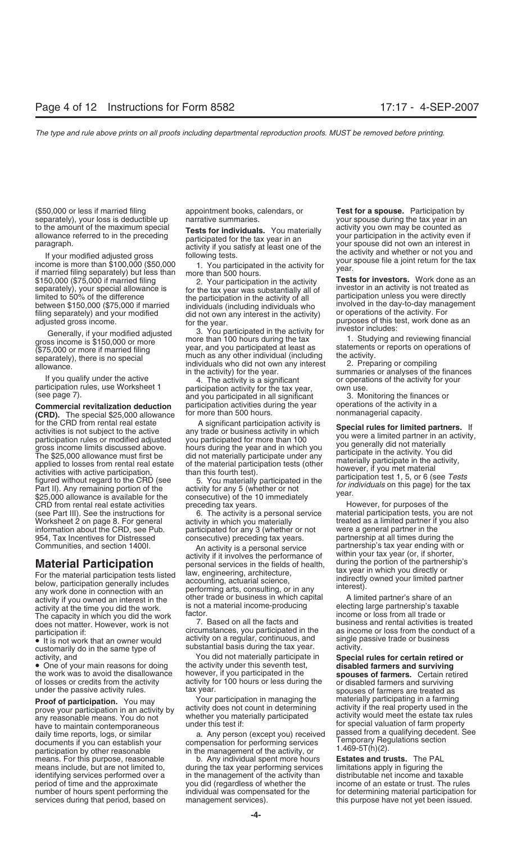(\$50,000 or less if married filing appointment books, calendars, or **Test for a spouse.** Participation by separately), your loss is deductible up narrative summaries. you materially your spouse during the tax year in an to the amount of the maximum special Tests for individuals You materially activity you own may be counted as

**(CRD).** The special \$25,000 allowance than 500 hours.<br>for the CRD from rental real estate **A** significant participation activity is For the CRD from rental real estate<br>activities is not subject to the active<br>activities is not subject to the active<br>gross income limits discussed above. <br>activity in which provided adjusted you participation rules or modif CRD from rental real estate activities preceding tax years. However, for purposes of the (see Part III). See the instructions for  $\,$  6. The activity is a personal service material participation tests, you are not Worksheet 2 on page 8. For general activity in which you materially treated as a limited partner if you also<br>information about the CRD, see Pub. participated for any 3 (whether or not were a general partner in the 954, Tax Incentives for Distressed consecutive) preceding tax years.

any work done in connection with an an performing arts, consulting, or in any<br>activity if you owned an interest in the other trade or business in which capital A limited partner's share of an<br>activity at the time you did t activity at the time you did the work. is not a material income-producing electing large partnership's taxa<br>The capacity in which you did the work factor. The capacity in which you did the work factor.<br>does not matter. However, work is not all the facts and business and rental activities is treated does not matter. However, work is not **7. Based on all the facts and pubblishess** and rental activities is treated<br>participation if

• It is not work that an owner would<br>customarily do in the same type of substantial basis during the tax year. activity.<br>You did not materially participate in **Specia** 

the work was to avoid the disallowance however, if you participated in the **spouses of farmers.** Certain retired of losses or credits from the activity of activity for 100 hours or less during the or disabled farmers and s

**Proof of participation.** You may Your participation in managing the prove your participation in an activity by activity does not count in determining activity if the real property used in the any reasonable means. You do means. For this purpose, reasonable b. Any individual spent more hours **Estates and trusts.** The PAL

participation rules, use Worksheet 1 barticipation activity for the tax year, both use.<br>(see page 7). The finances or and you participated in all significant and 3. Monitoring the finances or<br>**Commercial revitalization ded Commercial revitalization deduction** participation activities during the year operations of the activity commention<br>CRD). The special \$25,000 allowance for more than 500 hours.

participated for any 3 (whether or not were a general partner in the consecutive) preceding tax years.

Communities, and section 1400I. <br>An activity is a personal service partnership's tax year ending with or<br>Authin your tax year (or, if shorter, action of the partnership's **Material Participation**<br>
For the material participation tests listed<br>
below, participation generally includes<br>
any work done in connection with an<br>
any work done in connection with an<br>
during the portion of the partnershi

participation if: circumstances, you participated in the as income or loss from the conduction if:<br>
• It is not work that an owner would activity on a regular, continuous, and single passive trade or business

activity, and You did not materially participate in **Special rules for certain retired or** • One of your main reasons for doing the activity under this seventh test, **disabled farmers and surviving** of losses or credits from the activity activity for 100 hours or less during the or disabled farmers and surviving under the passive activity rules. tax year.

means include, but are not limited to, during the tax year performing services limitations apply in figuring the identifying services performed over a in the management of the activity than distributable net income and taxable<br>period of time and the approximate you did (regardless of whether the income of an estate or trust. The rule services during that period, based on management services). This purpose have not yet been issued.

to the amount of the maximum special<br>allowance referred to in the preceding<br>paragraph.<br>If your modified adjusted gross<br>income is more than \$100,000 (\$50,000<br>if married filing separately) but less than<br>if married filing sep

\$150,000 (\$75,000 if married filing  $\frac{1}{2}$ . Your participation in the activity<br>since is for investors. Work done as an<br>limited to 50% of the difference<br>between \$150,000 (\$75,000 if married and the participation in the

income of an estate or trust. The rules number of hours spent performing the individual was compensated for the for determining material participation for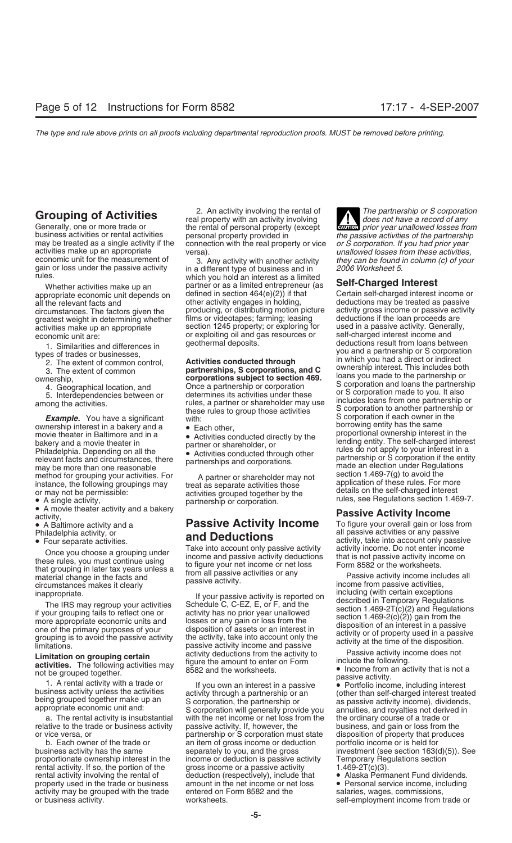economic unit for the measurement of and in a different type of business and in they can be found in column (c) of your gain or loss under the passive activity in a different type of business and in 2006 Worksheet 5.<br>
whic

ownership interest in a bakery and a borrowing entity has the same<br>movie theater in Baltimore and in a borrowing entity has the same proportional ownership interest in the movie theater in Baltimore and in a<br>
bakery and a movie theater in<br>
Philadelphia. Depending on all the<br>
relevant facts and circumstances, there<br>
may be more than one reasonable<br>
may be more than one reasonable<br>
disconducte

Once you choose a grouping under<br>these rules, you must continue using<br>that grouping in later tax years unless a<br>material change in the facts and<br>circumstances makes it clearly<br>circumstances makes it clearly<br>circumstances m

relative to the trade or business activity passive activity. If, however, the business, and gain or loss from the or vice versa, or partnership or S corporation must state disposition of property that produces or vice versa, or **partnership or S** corporation must state

activity may be grouped with the trade

**Grouping of Activities**<br>
Generally, one or more trade or the rental of personal property with an activity involving<br>
the partnership or S corporation<br>
business activities or rental activities<br>
business activities or renta business activities or rental activities personal property provided in the passive activities of the partnership<br>may be treated as a single activity if the connection with the real property or vice or S corporation. If you

which you hold an interest as a limited Whether activities make up an partner or as a limited entrepreneur (as **Self-Charged Interest**<br>propriate economic unit depends on defined in section 464(e)(2)) if that Certain self-charged interest i appropriate economic unit depends on defined in section 464(e)(2)) if that Certain self-charged interest income or<br>all the relevant facts and other activity engages in holding, deductions may be treated as passive all the relevant facts and other activity engages in holding, but deductions may be treated as passive activity engages in holding, deductions may be treated as passive activity circumstances. The factors given the produci circumstances. The factors given the producing, or distributing motion picture activity gross income or passive activity greatest weight in determining whether films or videotapes; farming; leasing deductions if the loan proceeds are<br>activities make up an appropriate section 1245 property; or exploring for used in a passive activity. General activities make up an appropriate section 1245 property; or exploring for used in a passive activity. General<br>economic unit are: or exploiting oil and gas resources or self-charged interest income and or exploiting oil and gas resources or self-charged interest income and geothermal deposits.

### extivity,<br>
• A Baltimore activity and a **Passive Activity Income** To figure your overall gain or loss from<br>
Philadelphia activity, or **and Doductions** all passive activities or any passive **and Deductions**  $\overline{\mathbf{a}}$  all passive activities or any passive  $\overline{\mathbf{a}}$

The IRS may regroup your activities<br>
if your passive activity is reported on<br>
if your grouping fails to reflect one or<br>
if your grouping fails to reflect one or<br>
if your grouping fails to reflect one or<br>
if your grouping f activity income and passive activity at the time of the disposition.<br> **Limitation on grouping certain** include the activity to activities. The following activities may figure the amount to enter on Form include the followi

a. The rental activity is insubstantial with the net income or net loss from the the ordinary course of a trade or<br>ative to the trade or business activity passive activity. If, however, the business, and gain or loss from b. Each owner of the trade or an item of gross income or deduction portfolio income or is held for income or deduction is passive activity rental activity. If so, the portion of the gross income or a passive activity  $1.469-2T(c)(3)$ . rental activity involving the rental of deduction (respectively), include that <br>• Alaska Permanent Fund dividends.<br>• Personal service income, including amount in the net income or net loss • Personal service income, including entered on Form 8582 and the salaries, wages, commissions, or business activity. The self-employment income from trade or business activity.

**ENTION** prior year unallowed losses from

1. Similarities and differences in geothermal deposits.<br>
types of trades or businesses,<br>
2. The extent of common control,<br>
3. The extent of common control,<br>
2. The extent of common<br>
2. The extent of common<br>
2. The extent o 4. Geographical location, and<br>
5. Interdependencies between or<br>
among the activities.<br>
among the activities.<br>
among the activities.<br>
among the activities.<br>
among the activities.<br>
These rules to group those activities<br>
thes these rules to group those activities and only of corporation to another partnership<br>S corporation if each owner in the<br>S corporation if each owner in the same<br>borrowing entity has the same method for grouping your activities. For a partner or shareholder may not instance, the following groupings may<br>
instance, the following groupings may treat as separate activities those activities are activities or may no

• Four separate activities.<br>Take into account only passive activity activity income. Do not enter income<br>Oneo you shapes a grouning under

activities. The following activities have activity activities in a passive activity.<br>
The following activities had the worksheets.<br>
1. A rental activity with a trade or business activity unless the activities activity thro business activity has the same separately to you, and the gross investment (see section 163(d)(5)). See proportionate ownership interest in the income or deduction is passive activity Temporary Regulations section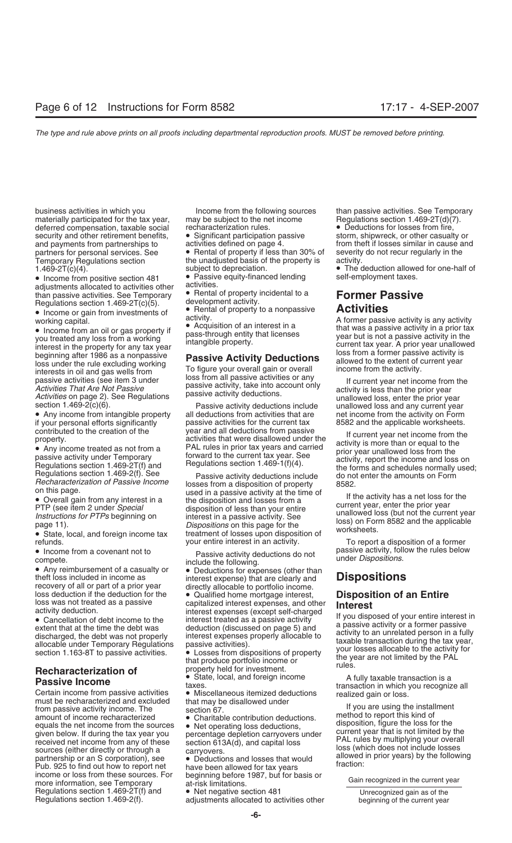business activities in which you Income from the following sources than passive activities. See Temporary materially participated for the tax year, may be subject to the net income Regulations section 1.469-2T(d)(7).<br>deferred compensation, taxable social recharacterization rules. • Deductions for losses from fire, deferred compensation, taxable social recharacterization rules. <br>security and other retirement benefits, <br>or Significant participation passive storm, shipwreck, or other casualty or security and other retirement benefits,  $\bullet$  Significant participation passecurity and payments from partnerships to activities defined on page 4. Temporary Regulations section the unadjusted basis of the property is  $1.469-2T(c)(4)$ .

• Income from positive section 481 • Passive equity-financed lending<br>adjustments allocated to activities other activities. adjustments allocated to activities other activities.<br>than passive activities, See Temporary • Rental of property incidental to a than passive activities. See Temporary • Rental of property incidental to a **Former Passive**

A former passive activity is any activity<br>
• Income from an oil or gas property if<br>
working capital.<br>
the property for any toxis that was a passive activity in a prior tax<br>
you treated any loss from a working<br>
interest i

**Passive Income from passive activities**<br>
Certain income from passive activities<br>
Certain income from passive activities<br>
must be recharacterized and excluded that may be disallowed under<br>
must be recharacterized and exclu Pub. 925 to find out how to report net<br>income or loss from these sources. For beginning before 1987, but for basis or<br>more information, see Temporary at-risk limitations. Regulations section 1.469-2T(f) and • Net negative section 481 Unrecognized gain as of the Regulations section 1.469-2(f).<br>Regulations section 1.469-2(f). adjustments allocated to activities other beginning of the current

partners for personal services. See • Rental of property if less than 30% of severity do not recur regularly in the Temporary Requilarions section

Regulations section 1.469-2T(c)(5). development activity.<br>• Income or gain from investments of  $\bullet$  Rental of property to a nonpassive • Income or gain from investments of **•** Rental of property to a nonpassive **Activities**<br>
working capital. A former passive activity is any activity activity activity.

vection 1.469-2(c)(6). Passive activity deductions include unallowed loss and any current year<br>
■ Any income from intangible property all deductions from activities that are net income from the activity on Form<br>
if your p passive activities for the current tax 8582 and the applicable worksheets.<br>year and all deductions from passive the current voor not income from the

*Regulations section 1.469-2(1).* See Passive activity deductions include do not enter the amounts on Form<br>*Recharacterization of Passive Income* losses from a disposition of property 8582.<br>on this page. on this page.<br>
■<br>
• Overall gain from any interest in a<br>
example the disposition and losses from a<br>
example the disposition and losses from a<br>
FTP (see item 2 under *Special*<br>
the disposition and losses from a<br>
example th

from theft if losses similar in cause and

• The deduction allowed for one-half of self-employment taxes.

contributed to the creation of the vear and all deductions from passive<br>
• Any income treated as not from a<br>
• Any income treated as not from a<br>
passive activity under Temporary<br>
Fegulations section 1.469-2T(f) and<br>
Regul

refunds.<br>
your entire interest in an activity.<br>
Despite activity deductions do not be passive activity, follow the rules below<br>
passive activity, follow the rules below

• Income from a covenant not to the selection of the selection of the selection of a casualty or the metallical to the property of all or property be the selection of the selection of the selection of the coverage interest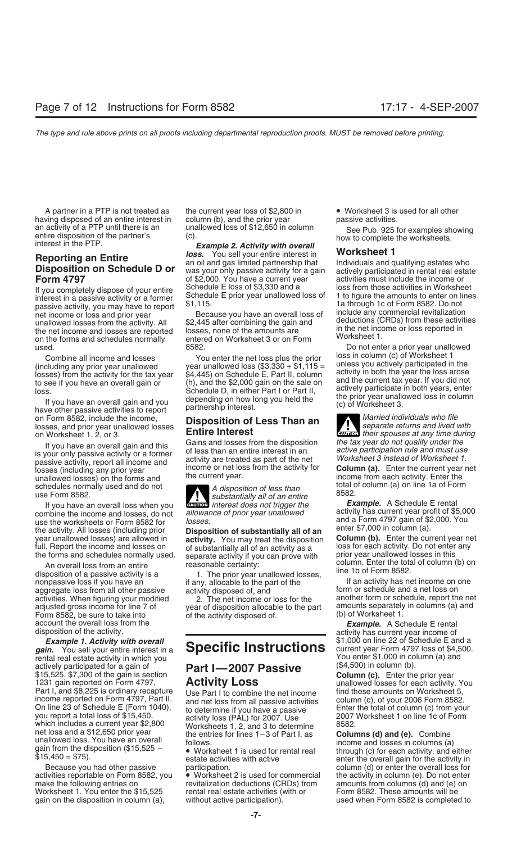having disposed of an entire interest in column (b), and the prior year passive activities.<br>an activity of a PTP until there is an unallowed loss of \$12,650 in column an activity of a PTP until there is an unallowed loss of \$12,650 in column See Pub. 925 for examples showing<br>entire disposition of the partner's (c).<br>interest in the PTP. **Example 2. Activity with overall** bow to complete

net income or loss and prior year<br>
unallowed losses from the activity. All \$2,445 after combining the gain and<br>
the net income and losses are reported losses, none of the amounts are<br>
on the forms and schedules normally en

on Form 8582, include the income, **Disposition of Less Than an** losses, and prior year unallowed losses **Disposition of Less Than an and local separate returns and lived with** on Worksheet 1, 2, or 3. **Entire Interest** on Form Sock, include the income,<br>losses, and prior year unallowed losses<br>on Worksheet 1, 2, or 3. **Entire Interest CAUTION** *their spouses at any time during* 

If you have an overall loss when you<br>combine the income and losses, do not allowance of prior year unallowed<br>use the worksheets or Form 8582 for losses.<br>and a Form 4797 gain of \$2,000. You use the worksheets or Form 8582 for<br>the activity. All losses (including prior **Disposition of substantially all of an**<br>year unallowed losses) are allowed in **activity**. You may treat the disposition **Column (b)**. Enter the year unallowed losses) are allowed in **activity**. You may treat the disposition **Column (b)**. Enter the current year need full. Report the income and losses on of substantially all of an activity as a loss for each activit

An overall loss from an entire mericum column (b) on An overall loss from an entire enter the total on An overall on An overall on An overall on An overall of Form 8582.<br>
If an activity has negative loss if you have an an activities. When figuring your modified 2. The net income or loss for the adjusted gross income for line 7 of vear of disposition allocable to the p Form 8582, be sure to take into of the activity disposed of. account the overall loss from the **Example.** A Schedule E rental disposition of the activity.

*gain.* You sell your entire interest in a **Specific Instructions** current year Form 4797 loss of \$4,5<br>rental real estate activity in which you rental real estate activity in which you  $\overline{Part I}$  2007  $\overline{P}$  actively participated for a gain of  $\overline{Part I}$  2007  $\overline{P}$  and  $\overline{P}$  (\$4,500) in column (b). actively participated for a gain of **Part I—2007 Passive** (\$4,500) in column (b).<br>\$15,525. \$7,300 of the gain is section **Part I—2007 Passive Column (c).** Enter the prior year<br>1231 gain reported on Form 4797, **Activity Los** 1231 gain reported on Form 4797, **ACTIVITY LOSS** unallowed losses for each activity. You Part I, and \$8,225 is ordinary recapture Use Part I to combine the net income find these amounts on Worksheet 5, income reported on F income reported on Form 4797, Part II. and net loss from all passive activities column (c), of your 2006 Form 8582.<br>On line 23 of Schedule E (Form 1040), to determine if you have a passive Enter the total of column (c) fro you report a total loss of \$15,450,<br>which includes a current year \$2,800 Worksheets 1, 2, and 3 to determine 8582.<br>net loss and a \$12,650 prior year the entries for lines 1–3 of Part I, as **Columns (d) and (e).** Combine

activities reportable on Form 8582, you • Worksheet 2 is used for commercial the activity in column (e). Do not enter<br>make the following entries on revitalization deductions (CRDs) from amounts from columns (d) and (e) on Worksheet 1. You enter the  $$15,525$  rental real estate activities (with or gain on the disposition in column (a), without active participation). used when Form 8582 is completed to

A partner in a PTP is not treated as the current year loss of \$2,800 in • Worksheet 3 is used for all other

**Reporting an Entire**<br>**Reporting an Entire delayser Service And Service in the Service of the Canadism Proporting an Entire in Analyour entire interest in Worksheet 1<br>Disposition on Schedule D or was your only passive acti Form 4797** of \$2,000. You have a current year activities must include the income or<br>If you completely dispose of your entire Schedule E loss of \$3,330 and a loss from those activities in Worksheet

Combine all income and losses<br>(including any prior year unallowed year unallowed loss  $(\$3,330 + $1,115 =$ <br>losses) from the activity for the tax year  $\$4,445)$  on Schedule E, Part II, column activity in both the year the loss loss.<br>
Is the dively participate in both years, enter<br>
If you have an overall gain and you<br>
have other passive activities to report<br>
actively participate in both years, enter<br>
the prior year unallowed loss in column<br>
(c) o

If you have an overall gain and this<br>is your only passive activity or a former<br>passive activity, report all income and<br>losses (including any prior year<br>losses (including any prior year<br>income or net loss from the activity

schedules normally used and do not<br>use Form 8582.<br>If you have an overall loss when you are there is than the substantially all of an entire<br>interest does not trigger the **Example.** A Schedule E rental **Exurcive** interest does not trigger the

revitalization deductions (CRDs) from amounts from columns (d) and (e) on rental real estate activities (with or

If you completely dispose of your entire<br>interest in a passive activity or a former<br>passive activity, you may have to report \$1,115.<br>passive activity, you may have to report \$1,115.

used. Do not enter a prior year unallowed<br>Combine all income and losses and losses and vou enter the net loss plus the prior loss in column (c) of Worksheet 1

losses (including any prior year income or net loss from the activity for **Column (a).** Enter the current year and the current year income from each activity. Enter the unallowed losses) on the forms and the current year.

separate activity if you can prove with prior year unallowed losses in this<br>reasonable certainty: column. Enter the total of column (b) on

if any, allocable to the part of the If an activity has net income on one<br>activity disposed of and If any income on schedule and a net loss on aggregate loss from all other passive activity disposed of, and form or schedule and a net loss on<br>activities. When figuring your modified and a come or loss for the another form or schedule, report the net year of disposition allocable to the part amounts separately in columns (a) and of the activity disposed of  $(5)$  of Worksheet 1.

activity has current year income of *Example 1. Activity with overall* \$1,000 on line 22 of Schedule E and a

net loss and a \$12,650 prior year<br>
unallowed loss. You have an overall<br>
gain from the disposition (\$15,525 –<br>
\$15,450 = \$75).<br>
\$15,450 = \$75).<br>
State activities with active<br>  $\frac{1}{2}$  and (e). Combine<br>  $\frac{1}{2}$  columns (d Because you had other passive participation. column (d) or enter the overall loss for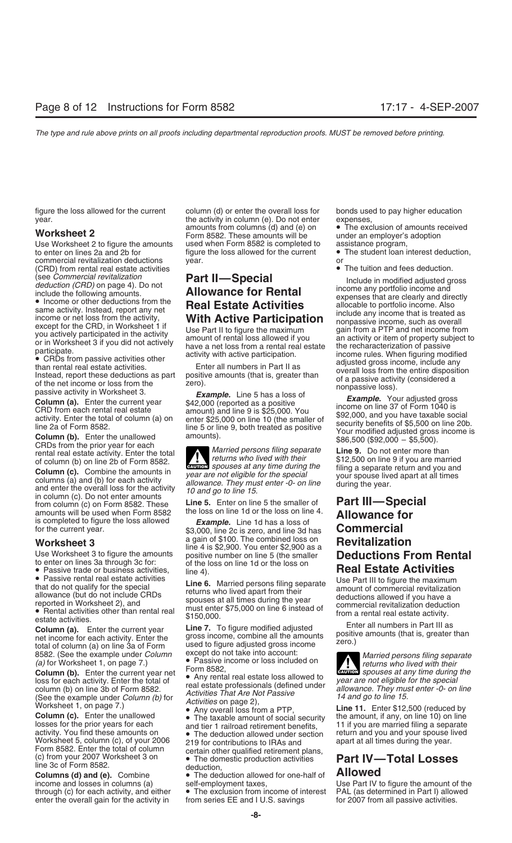Use Worksheet 2 to figure the amounts used when Form 8582 is completed to assistance program,<br>to enter on lines 2a and 2b for figure the loss allowed for the current • The student loan interest deduction, to enter on lines 2a and 2b for figure the loss allowed for the current commercial revitalization deductions vear. commercial revitalization deductions year. or (CRD) from rental real estate activities • The tuition and fees deduction.

The rental real estate activity. Enter the total **Married persons filing separate Line 9.** Do not enter more than of column (b) on line 2b of Form 8582.

**Column (c).** Combine the amounts in year are not eligible for the special<br>columns (a) and (b) for each activity<br>allowance. They must enter -0- on line during the year.<br>in column (c). Do not enter amounts from column (c) on Form 8582. These **Line 5.** Enter on line 5 the smaller of **Part III—Special** amounts will be used when Form 8582 the loss on line 1d or the loss on line 4.<br>
is completed to figure the loss allowed *Example.* Line 1d has a loss of<br>
for the current year.<br> **Allowance for**<br> **Example.** Line 1d has a los

**Column (b).** Enter the current year net  $\bullet$  Any rental real estate loss allowed to<br>loss for each activity. Enter the total of<br>column (b) on line 3b of Form 8582.<br>(See the example under *Column (b)* for<br>(See the example

losses for the prior years for each and tier 1 railroad retirement benefits, <sup>11</sup> if you are married filing a separate<br>activity. You find these amounts on **o** The deduction allowed under section return and you and your spo Worksheet 5, column (c), of your 2006 219 for contributions to IRAs and Form 8582. Enter the total of column certain other qualified retirement. Form 8582. Enter the total of column certain other qualified retirement plans,<br>
(c) from your 2007 Worksheet 3 on • The domestic production activities **Part IV—Total Losses**<br>
line 3c of Form 8582. deduction,

enter the overall gain for the activity in

figure the loss allowed for the current column (d) or enter the overall loss for bonds used to pay higher education year.<br>The activity in column (e). Do not enter expenses,<br>the exclusion of amounts received amounts from columns (d) and (e) on  $\bullet$  The exclusion of amounts received amounts from columns (d) and (e) on • The exclusion of amounts received amounts from columns (d) and (e) on<br>**Worksheet 2** to figure the amounts used when Form 8582 is completed to assistance program,

rental real estate activity. Enter the total returns who lived with their \$12,500 on line 9 if you are married<br>of column (c) Combine the amounts in the spouses at any time during the filing a separate return and you and

\$3,000, line 2c is zero, and line 3d has<br>a gain of \$100. The combined loss on

Worksheet 3<br>
Use Worksheet 3 to figure the amounts<br>
to enter on lines 3a through 3c for:<br>
to enter on lines 3a through 3c for:<br>
to enter on lines 3a through 3c for:<br>
The saisue trade or business activities<br> **Passive renta** 

line 3c of Form 8582.<br> **Columns (d) and (e).** Combine • The deduction allowed for one-half of **Allowed**<br>
income and losses in columns (a) • self-employment taxes, Use Part IV to

• The exclusion from income of interest PAL (as determined in Part I) allow<br>from series EE and I U.S. savings for 2007 from all passive activities.

(see Commercial revitatization<br>
include in modified adjusted gross<br>
include the following amounts.<br> **Example the delectric starts are to the conduct the delectric starts are the starts are delectric starts and the start a** 

8582. (See the example under *Column* except do not take into account:<br>
(a) for Worksheet 1, on page 7.) <br> **Column (b).** Enter the current year net **column 3582**,<br> **Column (b).** Enter the current year net **column is a set** 

**Column (c).** Enter the unallowed • The taxable amount of social security the amount, if any, on line 10) on line losses for the prior years for each and tier 1 railroad retirement benefits. 11 if you are married filing a return and you and your spouse lived<br>apart at all times during the year.

income and losses in columns (a) self-employment taxes, Use Part IV to figure the amount of the through (c) for each activity, and either  $\bullet$  The exclusion from income of interest PAL (as determined in Part I) allowed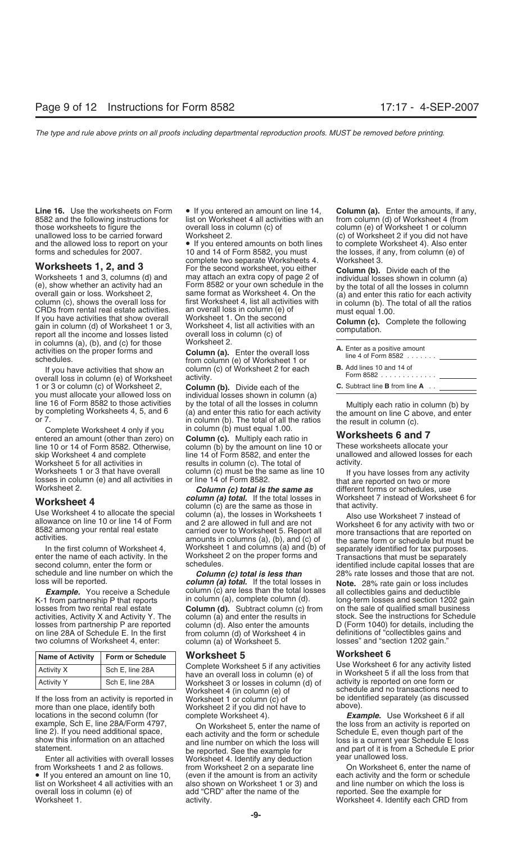those worksheets to figure the overall loss in column (c) of column (e) of Worksheet 1 or column<br>unallowed loss to be carried forward Worksheet 2. and the allowed loss to report on your • If you entered amounts on both lines to report on your 10 and 14 of Form 8582, you must

in columns (a), (b), and (c) for those Worksheet 2.<br>activities on the proper forms and **Column (a).** 

If you have activities that show an column<br>overall loss in column (e) of Worksheet activity. 1 or 3 or column (c) of Worksheet 2, **Column (b).** Divide each of the **C.** Subtract line **B** from line **A** . . you must allocate your allowed loss on individual losses shown in column (a) line 16 of Form 8582 to those activities by the total of all the losses in column

Complete Worksheet 4 only if you in column (b) must equal 1.00.<br>tered an amount (other than zero) on **Column (c).** Multiply each ratio in entered an amount (other than zero) on **Column (c).** Multiply each ratio in **Worksheets 6 and 7** line 10 or 14 of Form 8582. Otherwise, column (b) by the amount on line 10 or These worksheets allocate your<br>skip Worksheet 4 and complete sach ine 14 of Form 8582, and enter the sunallowed and allowed losses for each skip Worksheet 4 and complete line 14 of Form 8582, and enter the Worksheet 5 for all activities in results in column (c). The total of activity. Worksheets 1 or 3 that have overall column (c) must be the same as line 10 fyou have losses from any activity<br>losses in column (e) and all activities in or line 14 of Form 8582.<br>Worksheet 2. **Column (c) total is the same a** 

enter the name of each activity. In the Worksheet 2 on the proper forms and Transactions that must be separately<br>second column, enter the form or schedules. example of the that a schedules include capital losses that a

two columns of Worksheet 4, enter:

| <b>Name of Activity</b><br><b>Form or Schedule</b> |                 |
|----------------------------------------------------|-----------------|
| <b>Activity X</b>                                  | Sch E, line 28A |
| <b>Activity Y</b>                                  | Sch E, line 28A |

If the loss from an activity is reported in Worksheet 1 or column (c) of be identified be identify (as discussed to be identify to the worksheet 2 if you did not have to above). more than one place, identify both Worksheet 2 if you did not have to locations in the second column (for absomplete Worksheet 4). locations in the second column (for complete Worksheet 4).<br>
example, Sch E, line 28A/Form 4797, Con Worksheet 5, enter the name of the loss from an activity is reported o example, Sch E, line 28A/Form 4797, Con Worksheet 5, enter the name of the loss from an activity is reported on line 2). If you need additional space, each activity and the form or schedule Schedule E, even though part of

from Worksheets 1 and 2 as follows. from Worksheet 2 on a separate line On Worksheet 6, enter the name of • If you entered an amount on line 10, (even if the amount is from an activity each activity and the form or schedule list on Worksheet 4 all activities with an also shown on Worksheet 1 or 3) and and line number on which the overall loss in column (e) of add "CRD" after the name of the reported. See the example for overall loss in column (e) of add "CRD" after the name of the

Line 16. Use the worksheets on Form  $\bullet$  If you entered an amount on line 14, **Column (a).** Enter the amounts, if any, 8582 and the following instructions for list on Worksheet 4 all activities with an from column (d) of W 8582 and the following instructions for list on Worksheet 4 all activities with an from column (d) of Worksheet 4 (from

10 and 14 of Form 8582, you must the losses, if any, from column (e) of complete two separate Worksheets 4. Worksheet 3. **Worksheets 1, 2, and 3** For the second worksheet, you either **Column (b).** Divide each of the Worksheets 1 and 3, columns (d) and may attach an extra copy of page 2 of individual losses shown in column Worksheets 1 and 3, columns (d) and may attach an extra copy of page 2 of individual losses shown in column (a)<br>
(e), show whether an activity had an Form 8582 or your own schedule in the by the total of all the losses in

A. Enter the overall loss<br>schedules.<br>**A.** Enter the overall loss<br>schedules.<br>**A.** Enter the overall loss<br>from column (e) of Worksheet 1 or<br>of Form  $\alpha$ , column (c) of Worksheet 2 for each

line 16 of Form 8582 to those activities by the total of all the losses in column Multiply each ratio in column<br>by completing Worksheets 4, 5, and 6 (a) and enter this ratio for each activity the amount on line C above, an

**Worksheet 4**<br>
Use Worksheet 4 to allocate the special<br>
allowance on line 10 or line 14 of Form<br>
and 2 are allowed in full and are not<br>
allowance on line 10 or line 14 of Form<br>
and 2 are allowed in full and are not<br>
ans (a amounts in columns (a), (b), and (c) of the same form or schedule but must be<br>In the first column of Worksheet 4, Worksheet 1 and columns (a) and (b) of separately identified for tax purposes.<br>enter the name of each activi

schedule and line number on which the **Column (c) total is less than** 28% rate losses and those that are not.<br> **Column (a) total.** If the total losses in **Note** 28% rate gain or loss includes *column (a) total.* If the total losses in **Note.** 28% rate gain or loss includes column (c) are less than the total losses all collectibles gains and deductible **Example.** You receive a Schedule column (c) are less than the total losses all collectibles gains and deductible<br>K-1 from partnership P that reports in column (a), complete column (d). In long-term losses and section 1202 **Column (d).** Subtract column (c) from on the sale of qualified small business column (a) and enter the results in stock. See the instructions for Schedule activities, Activity X and Activity Y. The column (a) and enter the results in stock. See the instructions for Schedule<br>losses from partnership P are reported column (d). Also enter the amounts D (Form 1040) for details, i losses from partnership P are reported column (d). Also enter the amounts D (Form 1040) for details, including<br>
on line 28A of Schedule E. In the first from column (d) of Worksheet 4 in definitions of "collectibles gains a on line 28A of Schedule E. In the first from column (d) of Worksheet 4 in definitions of "collectibles gains a<br>two columns of Worksheet 4, enter: column (a) of Worksheet 5. (a) losses" and "section 1202 gain."

Complete Worksheet 5 if any activities Use Worksheet 6 for any activity listed<br>have an overall loss in column (e) of in Worksheet 5 if all the loss from that<br>Worksheet 3 or losses in column (d) of in activity is reported o Worksheet 3 or losses in column (d) of<br>Worksheet 4 (in column (e) of Worksheet 4 (in column (e) of schedule and no transactions need to<br>Worksheet 1 or column (c) of sume the identified separately (as discussed

itement.<br>Enter all activities with overall losses be reported. See the example for the and part of it is from a Enter a Worksheet 4. Identify any deduction Worksheet 1. **Activity** activity. **Worksheet 4. Identify each CRD from** 

Worksheet 2.<br>● If you entered amounts on both lines to complete Worksheet 4). Also enter

| A. Enter as a positive amount<br>line 4 of Form 8582 $\ldots$   |  |
|-----------------------------------------------------------------|--|
| <b>B.</b> Add lines 10 and 14 of<br>Form 8582 <u>_______</u> __ |  |
| C. Cubtract line D from line A                                  |  |

identified include capital losses that are

**Worksheet 5**<br>Complete Worksheet 5 if any activities Use Worksheet 6 for any activity listed

line 2). If you need additional space,<br>show this information on an attached<br>show this information on an attached<br>statement.<br>the reported See the example for and part of it is from a Schedule E loss<br>statement.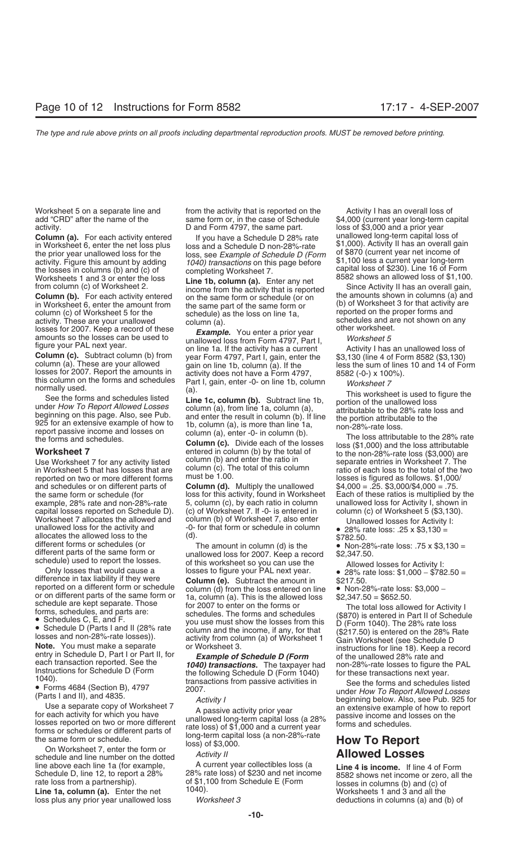the losses in columns (b) and (c) of completing Worksheet 7. capital loss of \$230). Line 16 of Form<br>Worksheets 1 and 3 or enter the loss Line 1b column (a) Enter any net 8582 shows an allowed loss of \$1,100.

Worksheets 1 and 3 or enter the loss<br>
from column (c) of Worksheet 2.<br> **Column (b).** For each activity entered<br>
income from the activity that is reported<br>
income from the activity that is reported<br>
income from the same fo

losses for 2007. Report the amounts in activity does not have a Form 4797,  $\frac{8582 \cdot (-0-)}{x} \times 100\%$ .<br>
this column on the forms and schedules listed<br>
See the forms and schedules listed<br>
See the forms and schedules listed

in Worksheet 5 that has losses that are column (c). The total of this column ratio of each loss to the total of the two or more different forms must be 1.00. reported on two or more different forms<br>and schedules or on different parts of and schedules or on different parts of **Column (d).** Multiply the unallowed  $$4,000 = .25. $3,000/$4,000 = .75.$  the same form or schedule (for loss for this activity, found in Worksheet Each of these ratios is multiplied by capital losses reported on Schedule D). (c) of Worksheet 7. If -0- is entered in Worksheet 7 allocates the allowed and column (b) of Worksheet 7, also enter

On Worksheet 7, enter the form or<br>
schedule and line number on the dotted *Activity II* **Allowed Losses**<br>
line above each line 1a (for example, A current year collectibles loss (a Line 4 is income. If line line above each line 1a (for example, A current year collectibles loss (a **Line 4 is income.** If line 4 of Form Schedule D, line 12, to report a 28% 28% rate loss) of \$230 and net income a sagge shows net income or zero, a

loss plus any prior year unallowed loss *Worksheet 3* deductions in columns (a) and (b) of

Worksheet 5 on a separate line and from the activity that is reported on the Activity I has an overall loss of add "CRD" after the name of the same form or, in the case of Schedule \$4,000 (current year long-term capital activity.<br>D and Form 4797, the same part. loss of \$3,000 and a prior year

**Column (a).** For each activity entered<br>in Worksheet 6, enter the net loss plus<br>the prior year unallowed loss for the loss, see Example of Schedule D (Form of \$870 (current year net income of<br>the prior year unallowed loss the prior year unallowed loss for the loss, see Example of Schedule D (Form of \$870 (current year net income of activity. Figure this amount by adding *1040) transactions* on this page before \$1,100 less a current year lon

**WOTKSHEET 7** entered in column (b) by the total of the non-28%-rate loss (\$3,000) are<br>Use Worksheet 7 for any activity listed column (b) and enter the ratio in separate entries in Worksheet 7. The<br>in Worksheet 5 that has

the same form or schedule (for loss for this activity, found in Worksheet Each of these ratios is multiplied by the<br>example, 28% rate and non-28%-rate 5, column (c), by each ratio in column unallowed loss for Activity I, s 5, column (c), by each ratio in column unallowed loss for Activity I, shown i<br>(c) of Worksheet 7. If -0- is entered in column (c) of Worksheet 5 (\$3,130).

Worksheet 7 allocates the allowed and column (b) of Worksheet 7, also enter<br>
inclusion column and column of the column of the column and column and column and the state lably of the state and lowed loss to the simulation

Schedule D, line 12, to report a 28% 28% rate loss) of \$230 and net income 8582 shows net income or zero, all the rate loss from a partnership). of \$1,100 from Schedule E (Form losses in columns (b) and (c) of line 12 colu **Line 1a, column (a).** Enter the net  $1040$ . The 1040 and 3 and all the 1040 and 3 and all the 1040 and 1040 and 1040 and 1040 and 1040 and 1040 and 1040 and 1040 and 1040 and 1040 and 1040 and 1040 and 1040 and 1040 and 1

activity.<br>
D and Form 4797, the same part. Instants in the prior year<br>
Column (a) For each activity entered if you have a Schadule D 28% rate unallowed long-term capital loss of

- 
- 
- 
- 
- 
-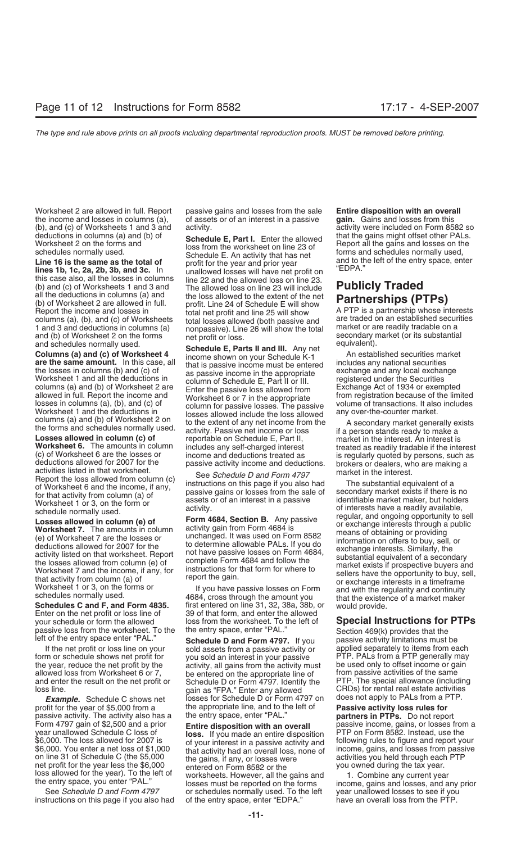Worksheet 2 are allowed in full. Report passive gains and losses from the sale **Entire disposition with an overall** the income and losses in columns (a), of assets or of an interest in a passive **gain.** Gains and losses from this (b), and (c) of Worksheets 1 and 3 and activity.<br>
deductions in columns (a) and (b) of **Cohodule E. Port L.** Enter the ellowed that the gains might offset other PALs.

(b) and (c) of Worksheet 2 and 3 and The allowed loss on line 22 will include<br>
(b) and (c) of Worksheets 1 and 3 and The allowed loss on line 23 will include<br>
(b) and (c) of Worksheets 2 are allowed in full. Include<br>
(b) a

**Schedules C and F, and Form 4835.** first entered on line 31, 32, 38a, 38b, or would provide.<br>
Enter on the net profit or loss line of 39 of that form, and enter the allowed vour schedule or form the allowed loss from the your schedule or form the allowed loss from the worksheet. To the left of **Special Instructions for PTPs**

and enter the result on the net profit or Schedule D or Form 4797. Identify the loss line.

profit for the year of \$5,000 from a the appropriate line, and to the left of **Passive activity loss rules for**<br>passive activity. The activity also has a the entry space, enter "PAL." **partners in PTPs.** Do not repo passive activity. The activity also has a the entry space, enter "PAL." **partners in PTPs.** Do not report net profit for the year less the \$6,000 entered on Form 8582 or the

instructions on this page if you also had of the entry space, enter "EDPA." have an overall loss from the PTP.

deductions in columns (a) and (b) of<br>
Worksheet 2 on the forms and<br>
schedule E, Part I. Enter the allowed<br>
schedule E. An activity that has net<br>
Line 16 is the same as the total of<br>
lines 1b, 1c, 2a, 2b, 3b, and 3c. In<br>
th

columns (a) and (b) of worksheet 2 are Enter the passive loss allowed from a second from exempted allowed in full. Report the income and Worksheet 6 or 7 in the appropriate from registration because of the limited losses i losses in columns (a), (b), and (c) of<br>
Worksheet 1 and the deductions in<br>
columns (a) and (b) of Worksheet 2 on<br>
the forms and schedules normally used.<br>
Losses allowed in column (c) of<br>
Losses allowed in column (c) of<br>
Lo

If the net profit or loss line on your sold assets from a passive activity or applied separately to items from each form or schedule shows net profit for you sold an interest in your passive PTP. PALs from a PTP generally the year, reduce the net profit by the activity, all gains from the activity must be used only to offset income or gain<br>allowed loss from Worksheet 6 or 7, be entered on the appropriate line of from passive activities of t allowed loss from Worksheet 6 or 7, be entered on the appropriate line of from passive activities of the same<br>and enter the result on the net profit or Schedule D or Form 4797, Identify the PTP. The special allowance (incl **Example.** Schedule C shows net losses for Schedule D or Form 4797 on

year unallowed Schedule C loss of **loss.** If you made an entire disposition year of voluments of voluments and the loss allowed for 2007 is of your interest in a passive activity and following rules to figure and report your interest in a passive activity and following rules to figure and report your that activity had an overall loss none of income, gains, and \$6,000. You enter a net loss of \$1,000 that activity had an overall loss, none of income, gains, and losses from passion line 31 of Schedule C (the \$5,000 the gains, if any, or losses were activities you held through each on line 31 of Schedule C (the \$5,000 the gains, if any, or losses were activities you held through each profit for the year less the \$6,000 entered on Form 8582 or the you owned during the tax year. loss allowed for the year). To the left of worksheets. However, all the gains and 1. Combine any current year the entry space, you enter "PAL." losses must be reported on the forms income, gains and losses, and any prior S or schedules normally used. To the left

Worksheet 6. The amounts in column including any self-charged interests in the buses of control income and deductions that are income and deductions. In the interest deductions allowed for 2007 for the passive activity in

passive loss from the worksheet. To the the entry space, enter "PAL." Section 469(k) provides that the left of the entry space enter "PAL." **Schedule D and Form 4797.** If you passive activity limitations must be lif the ne PTP. PALs from a PTP generally may CRDs) for rental real estate activities<br>does not apply to PALs from a PTP.

Form 4797 gain of \$2,500 and a prior **Entire disposition with an overall** passive income, gains, or losses from a vear unallowed Schedule C loss of **Entire disposition with an overall** passive income, gains, or losses from